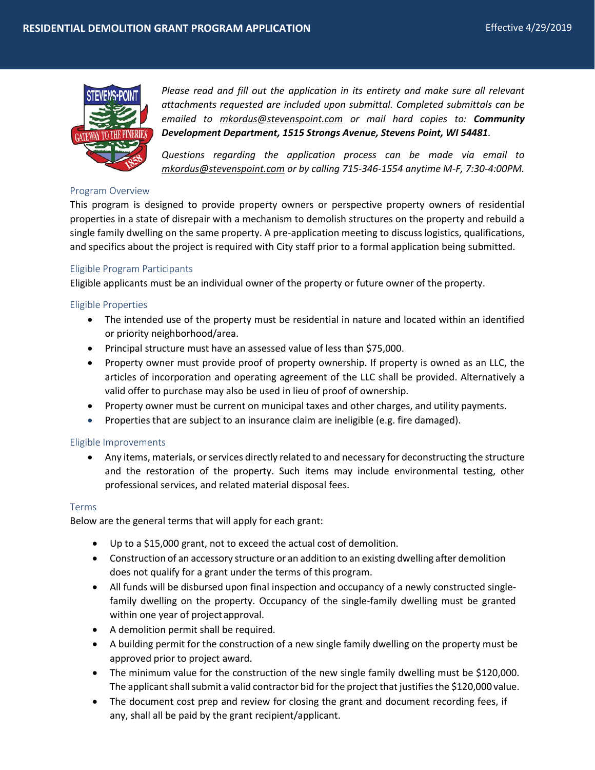

*Please read and fill out the application in its entirety and make sure all relevant attachments requested are included upon submittal. Completed submittals can be emailed to [mkordus@stevenspoint.com](mailto:mkordus@stevenspoint.com) or mail hard copies to: Community Development Department, 1515 Strongs Avenue, Stevens Point, WI 54481.*

*Questions regarding the application process can be made via email to [mkordus@stevenspoint.com](mailto:mkordus@stevenspoint.com) or by calling 715-346-1554 anytime M-F, 7:30-4:00PM.*

#### Program Overview

This program is designed to provide property owners or perspective property owners of residential properties in a state of disrepair with a mechanism to demolish structures on the property and rebuild a single family dwelling on the same property. A pre-application meeting to discuss logistics, qualifications, and specifics about the project is required with City staff prior to a formal application being submitted.

## Eligible Program Participants

Eligible applicants must be an individual owner of the property or future owner of the property.

## Eligible Properties

- The intended use of the property must be residential in nature and located within an identified or priority neighborhood/area.
- Principal structure must have an assessed value of less than \$75,000.
- Property owner must provide proof of property ownership. If property is owned as an LLC, the articles of incorporation and operating agreement of the LLC shall be provided. Alternatively a valid offer to purchase may also be used in lieu of proof of ownership.
- Property owner must be current on municipal taxes and other charges, and utility payments.
- Properties that are subject to an insurance claim are ineligible (e.g. fire damaged).

#### Eligible Improvements

 Any items, materials, or services directly related to and necessary for deconstructing the structure and the restoration of the property. Such items may include environmental testing, other professional services, and related material disposal fees.

#### Terms

Below are the general terms that will apply for each grant:

- Up to a \$15,000 grant, not to exceed the actual cost of demolition.
- Construction of an accessory structure or an addition to an existing dwelling after demolition does not qualify for a grant under the terms of this program.
- All funds will be disbursed upon final inspection and occupancy of a newly constructed singlefamily dwelling on the property. Occupancy of the single-family dwelling must be granted within one year of projectapproval.
- A demolition permit shall be required.
- A building permit for the construction of a new single family dwelling on the property must be approved prior to project award.
- The minimum value for the construction of the new single family dwelling must be \$120,000. The applicant shall submit a valid contractor bid for the project that justifies the \$120,000 value.
- The document cost prep and review for closing the grant and document recording fees, if any, shall all be paid by the grant recipient/applicant.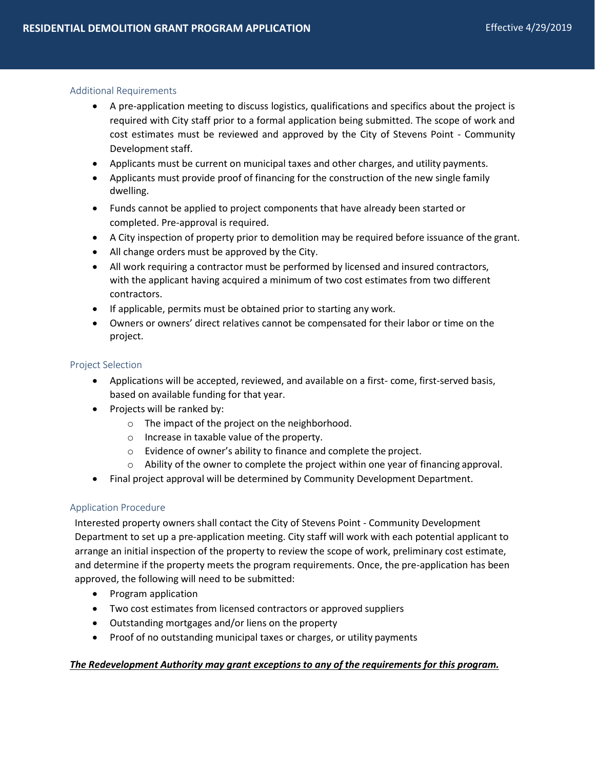## Additional Requirements

- A pre-application meeting to discuss logistics, qualifications and specifics about the project is required with City staff prior to a formal application being submitted. The scope of work and cost estimates must be reviewed and approved by the City of Stevens Point - Community Development staff.
- Applicants must be current on municipal taxes and other charges, and utility payments.
- Applicants must provide proof of financing for the construction of the new single family dwelling.
- Funds cannot be applied to project components that have already been started or completed. Pre-approval is required.
- A City inspection of property prior to demolition may be required before issuance of the grant.
- All change orders must be approved by the City.
- All work requiring a contractor must be performed by licensed and insured contractors, with the applicant having acquired a minimum of two cost estimates from two different contractors.
- If applicable, permits must be obtained prior to starting any work.
- Owners or owners' direct relatives cannot be compensated for their labor or time on the project.

## Project Selection

- Applications will be accepted, reviewed, and available on a first- come, first-served basis, based on available funding for that year.
- Projects will be ranked by:
	- o The impact of the project on the neighborhood.
	- o Increase in taxable value of the property.
	- o Evidence of owner's ability to finance and complete the project.
	- o Ability of the owner to complete the project within one year of financing approval.
- Final project approval will be determined by Community Development Department.

# Application Procedure

Interested property owners shall contact the City of Stevens Point - Community Development Department to set up a pre-application meeting. City staff will work with each potential applicant to arrange an initial inspection of the property to review the scope of work, preliminary cost estimate, and determine if the property meets the program requirements. Once, the pre-application has been approved, the following will need to be submitted:

- Program application
- Two cost estimates from licensed contractors or approved suppliers
- Outstanding mortgages and/or liens on the property
- Proof of no outstanding municipal taxes or charges, or utility payments

# *The Redevelopment Authority may grant exceptions to any of the requirements for this program.*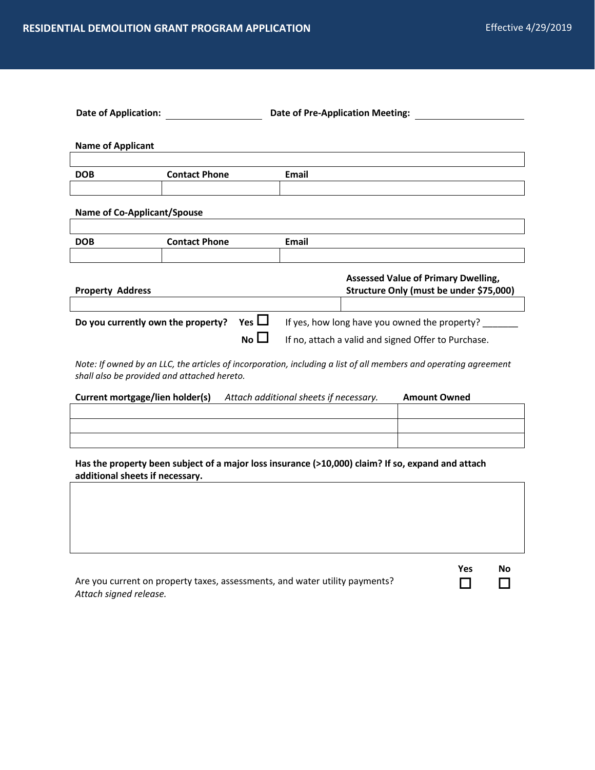| <b>Date of Application:</b>        |                      |                 |                                                     | <b>Date of Pre-Application Meeting:</b>    |
|------------------------------------|----------------------|-----------------|-----------------------------------------------------|--------------------------------------------|
|                                    |                      |                 |                                                     |                                            |
| <b>Name of Applicant</b>           |                      |                 |                                                     |                                            |
|                                    |                      |                 |                                                     |                                            |
| <b>DOB</b>                         | <b>Contact Phone</b> |                 | <b>Email</b>                                        |                                            |
|                                    |                      |                 |                                                     |                                            |
| <b>Name of Co-Applicant/Spouse</b> |                      |                 |                                                     |                                            |
|                                    |                      |                 |                                                     |                                            |
| <b>DOB</b>                         | <b>Contact Phone</b> |                 | Email                                               |                                            |
|                                    |                      |                 |                                                     |                                            |
|                                    |                      |                 |                                                     | <b>Assessed Value of Primary Dwelling,</b> |
| <b>Property Address</b>            |                      |                 |                                                     | Structure Only (must be under \$75,000)    |
|                                    |                      |                 |                                                     |                                            |
| Do you currently own the property? |                      | Yes $\Box$      | If yes, how long have you owned the property?       |                                            |
|                                    |                      | No <sub>1</sub> | If no, attach a valid and signed Offer to Purchase. |                                            |

*Note: If owned by an LLC, the articles of incorporation, including a list of all members and operating agreement shall also be provided and attached hereto.* 

| <b>Current mortgage/lien holder(s)</b> | Attach additional sheets if necessary. | <b>Amount Owned</b> |
|----------------------------------------|----------------------------------------|---------------------|
|                                        |                                        |                     |
|                                        |                                        |                     |
|                                        |                                        |                     |

**Has the property been subject of a major loss insurance (>10,000) claim? If so, expand and attach additional sheets if necessary.** 

|                                                                             | Yes | No |
|-----------------------------------------------------------------------------|-----|----|
| Are you current on property taxes, assessments, and water utility payments? |     |    |
| Attach signed release.                                                      |     |    |